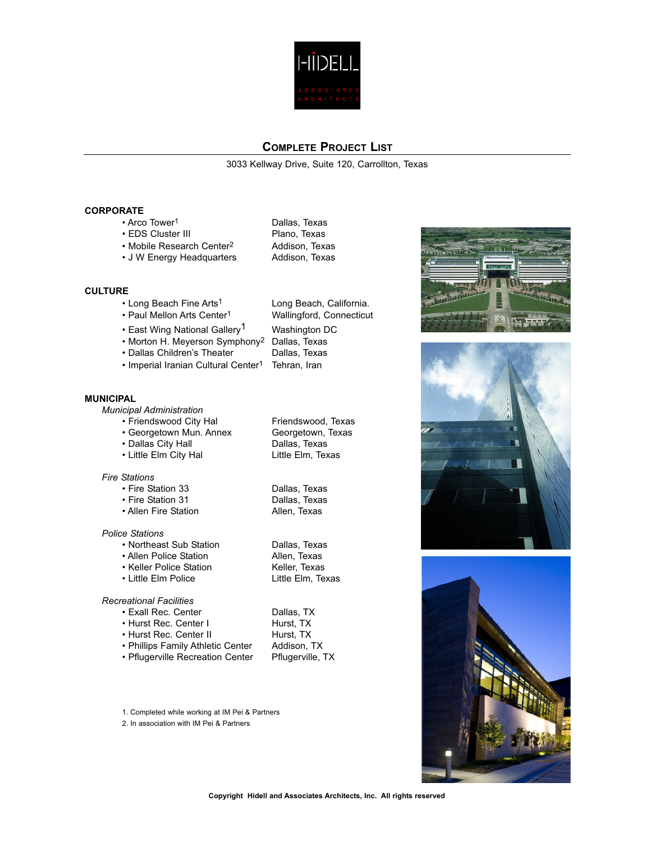

3033 Kellway Drive, Suite 120, Carrollton, Texas

### **CORPORATE**

- Arco Tower<sup>1</sup> Dallas, Texas
- 
- EDS Cluster III Plano, Texas • Mobile Research Center<sup>2</sup> Addison, Texas • J W Energy Headquarters Addison, Texas
- **CULTURE**
	- Long Beach Fine Arts<sup>1</sup> Long Beach, California.
	-
	- East Wing National Gallery<sup>1</sup> Washington DC
	- Morton H. Meyerson Symphony<sup>2</sup> Dallas, Texas<br>• Dallas Children's Theater Dallas, Texas
	- Dallas Children's Theater
	- Imperial Iranian Cultural Center<sup>1</sup> Tehran, Iran

### **MUNICIPAL**

*Municipal Administration*

- 
- Georgetown Mun. Annex
- 
- Little Elm City Hal

### *Fire Stations*

- Fire Station 33 Dallas, Texas
- 
- Allen Fire Station

### *Police Stations*

- Northeast Sub Station Dallas, Texas
- 
- Keller Police Station
- Little Elm Police Little Elm, Texas

### *Recreational Facilities*

- 
- Hurst Rec. Center I
- 
- Phillips Family Athletic Center
- Pflugerville Recreation Center Pflugerville, TX
- 1. Completed while working at IM Pei & Partners
- 2. In association with IM Pei & Partners
- Paul Mellon Arts Center<sup>1</sup> Wallingford, Connecticut
- Friendswood City Hal Friendswood, Texas<br>• Georgetown Mun. Annex Georgetown, Texas

• Fire Station 31 Dallas, Texas

• Allen Police Station and Allen, Texas<br>• Keller Police Station **Allen, Texas** 

• Exall Rec. Center Dallas, TX<br>• Hurst Rec. Center I Hurst, TX • Hurst Rec. Center II Hurst, TX<br>• Phillips Family Athletic Center Addison, TX







# • Dallas City Hall Dallas, Texas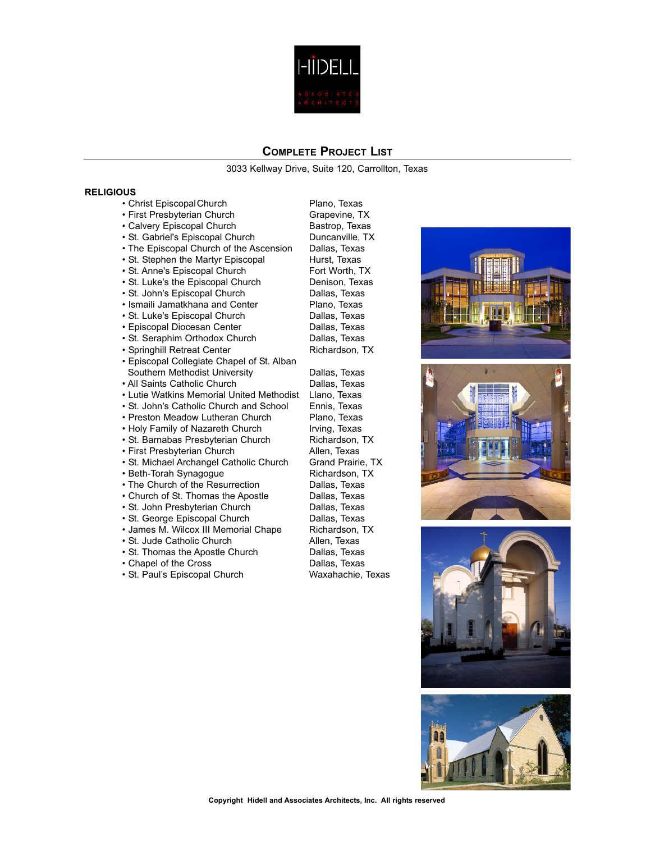

3033 Kellway Drive, Suite 120, Carrollton, Texas

### **RELIGIOUS**

- Christ Episcopal Church Plano, Texas • First Presbyterian Church Grapevine, TX
- 
- 
- St. Gabriel's Episcopal Church Duncanville, T<br>• The Episcopal Church of the Ascension Dallas, Texas • The Episcopal Church of the Ascension Dallas, Texas<br>• St. Stephen the Martyr Episcopal Hurst, Texas
- St. Stephen the Martyr Episcopal
- St. Anne's Episcopal Church Fort Worth, TX
- St. Luke's the Episcopal Church Denison, Texas
- St. John's Episcopal Church
- Ismaili Jamatkhana and Center Plano, Texas<br>• St. Luke's Episcopal Church Plallas, Texas
- St. Luke's Episcopal Church
- Episcopal Diocesan Center **Dallas**, Texas
- St. Seraphim Orthodox Church Dallas, Texas<br>• Springhill Retreat Center **Dallas, Texas** Richardson, TX
- Springhill Retreat Center
- Episcopal Collegiate Chapel of St. Alban Southern Methodist University **Dallas**, Texas
- 
- All Saints Catholic Church Dallas, Texas<br>• Lutie Watkins Memorial United Methodist Llano, Texas • Lutie Watkins Memorial United Methodist Llano, Texas
- St. John's Catholic Church and School
- Preston Meadow Lutheran Church Plano, Texas
- Holy Family of Nazareth Church Irving, Texas
- St. Barnabas Presbyterian Church Richardson, TX
- 
- St. Michael Archangel Catholic Church Grand Prairie, T<br>• Beth-Torah Synagogue Bream Richardson, TX
- 
- Beth-Torah Synagogue and Richardson, T<br>• The Church of the Resurrection Ballas, Texas  $\cdot$  The Church of the Resurrection
- Church of St. Thomas the Apostle Dallas, Texas
- St. John Presbyterian Church Dallas, Texas
- St. George Episcopal Church Dallas, Texas
- James M. Wilcox III Memorial Chape Richardson, TX<br>• St. Jude Catholic Church Allen, Texas
- St. Jude Catholic Church
- St. Thomas the Apostle Church Dallas, Texas
- 
- St. Paul's Episcopal Church

• Calvery Episcopal Church **Bastrop, Texas**<br>• St. Gabriel's Episcopal Church **Bastrop, Texas** 

• First Presbyterian Church and Men, Texas<br>• St. Michael Archangel Catholic Church Grand Prairie, TX • Chapel of the Cross Dallas, Texas







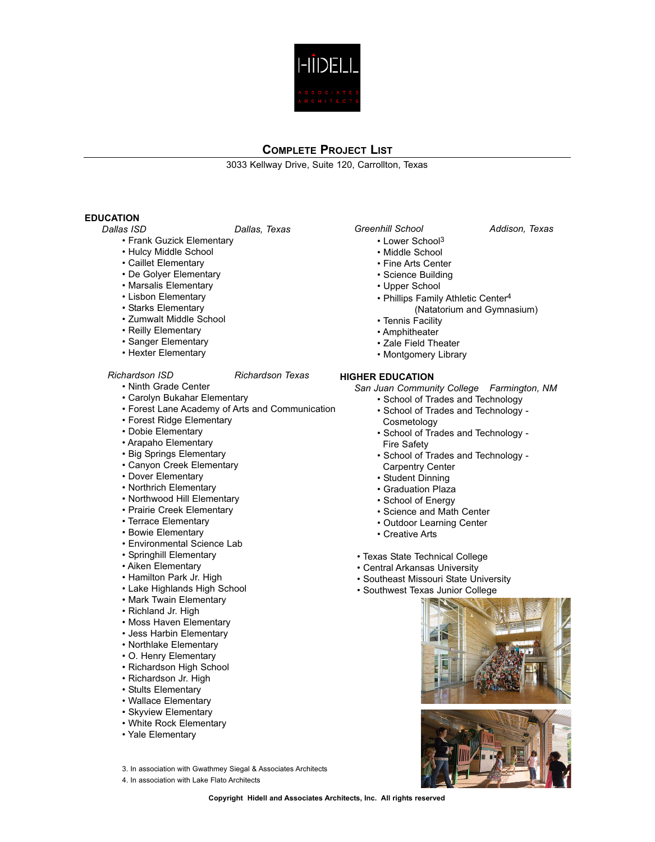

3033 Kellway Drive, Suite 120, Carrollton, Texas

## **EDUCATION**

*Dallas ISD Dallas, Texas*

- Frank Guzick Elementary
- Hulcy Middle School
- Caillet Elementary
- De Golyer Elementary
- Marsalis Elementary
- Lisbon Elementary
- Starks Elementary
- Zumwalt Middle School
- Reilly Elementary
- Sanger Elementary
- Hexter Elementary

### *Richardson ISD Richardson Texas*

- Ninth Grade Center
- Carolyn Bukahar Elementary
- Forest Lane Academy of Arts and Communication
- Forest Ridge Elementary
- Dobie Elementary
- Arapaho Elementary
- Big Springs Elementary
- Canyon Creek Elementary
- Dover Elementary
- Northrich Elementary
- Northwood Hill Elementary
- Prairie Creek Elementary
- Terrace Elementary
- Bowie Elementary
- Environmental Science Lab
- Springhill Elementary
- Aiken Elementary
- Hamilton Park Jr. High
- Lake Highlands High School
- Mark Twain Elementary
- Richland Jr. High
- Moss Haven Elementary
- Jess Harbin Elementary
- Northlake Elementary
- O. Henry Elementary
- Richardson High School
- Richardson Jr. High
- Stults Elementary
- Wallace Elementary
- Skyview Elementary
- White Rock Elementary
- Yale Elementary
- 3. In association with Gwathmey Siegal & Associates Architects
- 4. In association with Lake Flato Architects

- Lower School 3
- Middle School
- Fine Arts Center
- Science Building
- Upper School
- Phillips Family Athletic Center4 (Natatorium and Gymnasium)
- Tennis Facility
- Amphitheater
- Zale Field Theater
- Montgomery Library

### **HIGHER EDUCATION**

*San Juan Community College Farmington, NM*

- School of Trades and Technology • School of Trades and Technology -
- Cosmetology
- School of Trades and Technology Fire Safety
- School of Trades and Technology Carpentry Center
- Student Dinning
- Graduation Plaza
- School of Energy
- Science and Math Center
- Outdoor Learning Center
- Creative Arts
- Texas State Technical College
- Central Arkansas University
- Southeast Missouri State University
- Southwest Texas Junior College





# *Greenhill School Addison, Texas*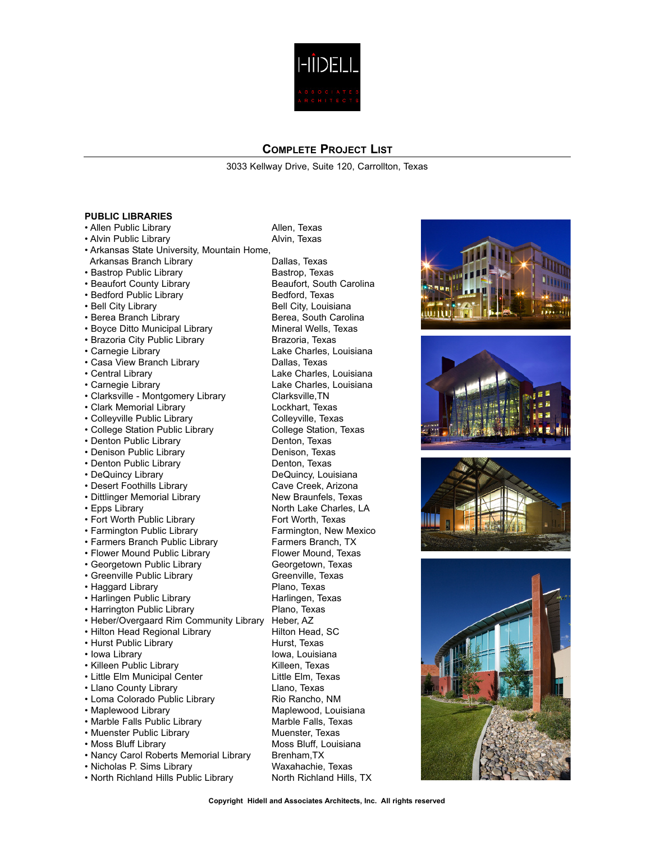

3033 Kellway Drive, Suite 120, Carrollton, Texas

### **PUBLIC LIBRARIES**

• Allen Public Library **Allen, Texas** • Alvin Public Library **Alvin, Texas** 

• Arkansas State University, Mountain Home,

- Arkansas Branch Library **Dallas**, Texas
- Bastrop Public Library Bastrop, Texas
- 
- 
- 
- 
- Boyce Ditto Municipal Library
- 
- 
- Casa View Branch Library **Dallas**, Texas
- 
- 
- Clarksville Montgomery Library Clarksville, TN
- Clark Memorial Library **Lockhart, Texas**
- Colleyville Public Library Colleyville, Texas
- College Station Public Library College Station, Texas
- Denton Public Library Denton, Texas
- Denison Public Library **Denison, Texas**
- 
- 
- 
- Dittlinger Memorial Library
- 
- Fort Worth Public Library Fort Worth, Texas
- 
- 
- Flower Mound Public Library
- Georgetown Public Library Georgetown, Texas
- Greenville Public Library Greenville, Texas
- Haggard Library **Plano**, Texas
- 
- Harrington Public Library
- Heber/Overgaard Rim Community Library Heber, AZ
- Hilton Head Regional Library
- Hurst Public Library **Hurst**, Texas
- 
- Killeen Public Library
- Little Elm Municipal Center Little Elm, Texas
- Llano County Library **Lano**, Texas
- Loma Colorado Public Library Rio Rancho, NM
- 
- Marble Falls Public Library
- 
- $\cdot$  Moss Bluff Library
- Nancy Carol Roberts Memorial Library Brenham, TX
- Nicholas P. Sims Library Waxahachie, Texas
- North Richland Hills Public Library North Richland Hills, TX

• Beaufort County Library **Beaufort, South Carolina** • Bedford Public Library **Bedford**, Texas • Bell City Library **Bell City, Louisiana** • Berea Branch Library **Berea, South Carolina**<br>• Bovce Ditto Municipal Library **Bullet Containeral Wells**, Texas • Brazoria City Public Library **Brazoria, Texas**<br>• Carnegie Library **Brazoria** Lake Charles, L Lake Charles, Louisiana • Central Library **Lake Charles, Louisiana** • Carnegie Library **Lake Charles, Louisiana** • Denton Public Library **Denton**, Texas • DeQuincy Library **DeQuincy, Louisiana**<br>• Desert Foothills Library **DeCuincy** Cave Creek, Arizona • Desert Foothills Library **Cave Creek, Arizona**<br>• Dittlinger Memorial Library **Cave Creek, Arizona** New Braunfels, Texas • Epps Library North Lake Charles, LA • Farmington Public Library Farmington, New Mexico<br>• Farmers Branch Public Library Farmers Branch. TX • Farmers Branch Public Library Farmers Branch, TX<br>• Flower Mound Public Library Flower Mound, Texas • Harlingen Public Library Harlingen, Texas • Iowa Library Iowa, Louisiana<br>• Killeen Public Library Iowa, Iowa, Louisiana • Maplewood Library **Maplewood, Louisiana**<br>• Marble Falls Public Library **Marble Falls, Texas** • Muenster Public Library Muenster, Texas<br>• Moss Bluff Library Moss Bluff. Louisiana